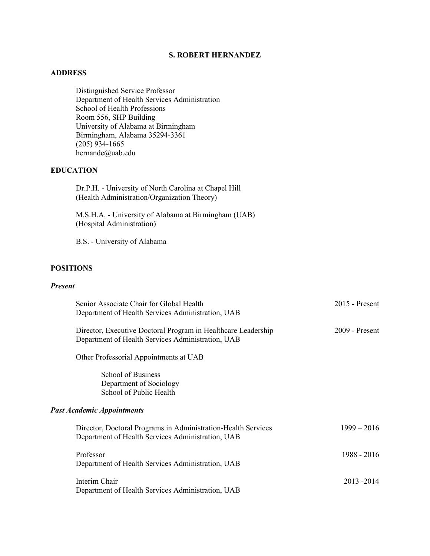# **S. ROBERT HERNANDEZ**

## **ADDRESS**

Distinguished Service Professor Department of Health Services Administration School of Health Professions Room 556, SHP Building University of Alabama at Birmingham Birmingham, Alabama 35294-3361 (205) 934-1665 hernande@uab.edu

# **EDUCATION**

Dr.P.H. - University of North Carolina at Chapel Hill (Health Administration/Organization Theory)

M.S.H.A. - University of Alabama at Birmingham (UAB) (Hospital Administration)

B.S. - University of Alabama

# **POSITIONS**

# *Present*

| Senior Associate Chair for Global Health                                                                           | $2015$ - Present |
|--------------------------------------------------------------------------------------------------------------------|------------------|
| Department of Health Services Administration, UAB                                                                  |                  |
| Director, Executive Doctoral Program in Healthcare Leadership<br>Department of Health Services Administration, UAB | $2009$ - Present |
| Other Professorial Appointments at UAB                                                                             |                  |
| School of Business<br>Department of Sociology<br>School of Public Health                                           |                  |
| <b>Past Academic Appointments</b>                                                                                  |                  |
| Director, Doctoral Programs in Administration-Health Services<br>Department of Health Services Administration, UAB | $1999 - 2016$    |
| Professor<br>Department of Health Services Administration, UAB                                                     | 1988 - 2016      |
| Interim Chair<br>Department of Health Services Administration, UAB                                                 | 2013 - 2014      |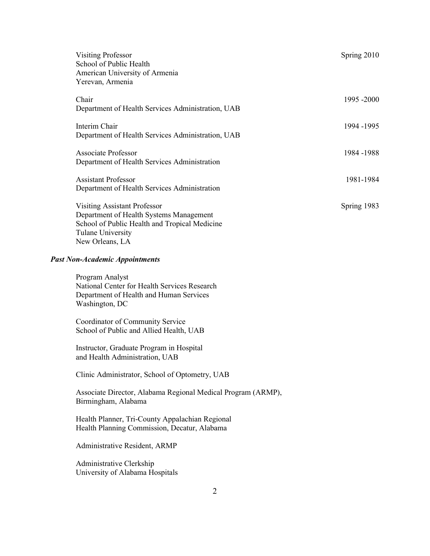| <b>Visiting Professor</b><br>School of Public Health<br>American University of Armenia<br>Yerevan, Armenia                                                                     | Spring 2010 |
|--------------------------------------------------------------------------------------------------------------------------------------------------------------------------------|-------------|
| Chair<br>Department of Health Services Administration, UAB                                                                                                                     | 1995 - 2000 |
| Interim Chair<br>Department of Health Services Administration, UAB                                                                                                             | 1994 -1995  |
| <b>Associate Professor</b><br>Department of Health Services Administration                                                                                                     | 1984-1988   |
| <b>Assistant Professor</b><br>Department of Health Services Administration                                                                                                     | 1981-1984   |
| <b>Visiting Assistant Professor</b><br>Department of Health Systems Management<br>School of Public Health and Tropical Medicine<br><b>Tulane University</b><br>New Orleans, LA | Spring 1983 |
| <b>Past Non-Academic Appointments</b>                                                                                                                                          |             |
| Program Analyst<br>National Center for Health Services Research<br>Department of Health and Human Services<br>Washington, DC                                                   |             |
| Coordinator of Community Service<br>School of Public and Allied Health, UAB                                                                                                    |             |
| Instructor, Graduate Program in Hospital<br>and Health Administration, UAB                                                                                                     |             |
| Clinic Administrator, School of Optometry, UAB                                                                                                                                 |             |
| Associate Director, Alabama Regional Medical Program (ARMP),<br>Birmingham, Alabama                                                                                            |             |
| Health Planner, Tri-County Appalachian Regional<br>Health Planning Commission, Decatur, Alabama                                                                                |             |
| Administrative Resident, ARMP                                                                                                                                                  |             |
| Administrative Clerkship<br>University of Alabama Hospitals                                                                                                                    |             |

2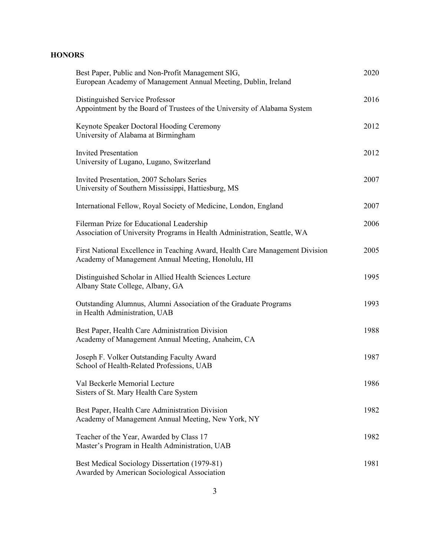# **HONORS**

| Best Paper, Public and Non-Profit Management SIG,<br>European Academy of Management Annual Meeting, Dublin, Ireland                | 2020 |
|------------------------------------------------------------------------------------------------------------------------------------|------|
| Distinguished Service Professor<br>Appointment by the Board of Trustees of the University of Alabama System                        | 2016 |
| Keynote Speaker Doctoral Hooding Ceremony<br>University of Alabama at Birmingham                                                   | 2012 |
| <b>Invited Presentation</b><br>University of Lugano, Lugano, Switzerland                                                           | 2012 |
| Invited Presentation, 2007 Scholars Series<br>University of Southern Mississippi, Hattiesburg, MS                                  | 2007 |
| International Fellow, Royal Society of Medicine, London, England                                                                   | 2007 |
| Filerman Prize for Educational Leadership<br>Association of University Programs in Health Administration, Seattle, WA              | 2006 |
| First National Excellence in Teaching Award, Health Care Management Division<br>Academy of Management Annual Meeting, Honolulu, HI | 2005 |
| Distinguished Scholar in Allied Health Sciences Lecture<br>Albany State College, Albany, GA                                        | 1995 |
| Outstanding Alumnus, Alumni Association of the Graduate Programs<br>in Health Administration, UAB                                  | 1993 |
| Best Paper, Health Care Administration Division<br>Academy of Management Annual Meeting, Anaheim, CA                               | 1988 |
| Joseph F. Volker Outstanding Faculty Award<br>School of Health-Related Professions, UAB                                            | 1987 |
| Val Beckerle Memorial Lecture<br>Sisters of St. Mary Health Care System                                                            | 1986 |
| Best Paper, Health Care Administration Division<br>Academy of Management Annual Meeting, New York, NY                              | 1982 |
| Teacher of the Year, Awarded by Class 17<br>Master's Program in Health Administration, UAB                                         | 1982 |
| Best Medical Sociology Dissertation (1979-81)<br>Awarded by American Sociological Association                                      | 1981 |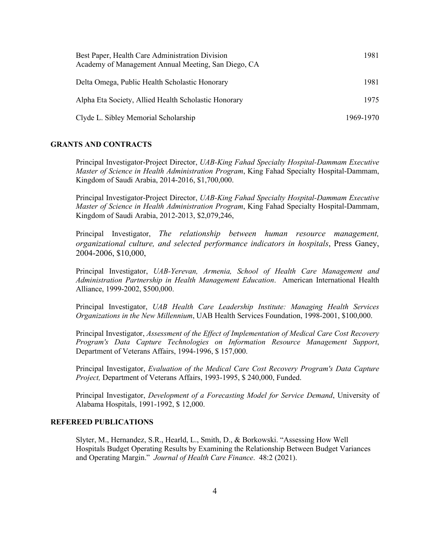| Best Paper, Health Care Administration Division<br>Academy of Management Annual Meeting, San Diego, CA | 1981      |
|--------------------------------------------------------------------------------------------------------|-----------|
| Delta Omega, Public Health Scholastic Honorary                                                         | 1981      |
| Alpha Eta Society, Allied Health Scholastic Honorary                                                   | 1975      |
| Clyde L. Sibley Memorial Scholarship                                                                   | 1969-1970 |

## **GRANTS AND CONTRACTS**

Principal Investigator-Project Director, *UAB-King Fahad Specialty Hospital-Dammam Executive Master of Science in Health Administration Program*, King Fahad Specialty Hospital-Dammam, Kingdom of Saudi Arabia, 2014-2016, \$1,700,000.

Principal Investigator-Project Director, *UAB-King Fahad Specialty Hospital-Dammam Executive Master of Science in Health Administration Program*, King Fahad Specialty Hospital-Dammam, Kingdom of Saudi Arabia, 2012-2013, \$2,079,246,

Principal Investigator, *The relationship between human resource management, organizational culture, and selected performance indicators in hospitals*, Press Ganey, 2004-2006, \$10,000,

Principal Investigator, *UAB-Yerevan, Armenia, School of Health Care Management and Administration Partnership in Health Management Education*. American International Health Alliance, 1999-2002, \$500,000.

Principal Investigator, *UAB Health Care Leadership Institute: Managing Health Services Organizations in the New Millennium*, UAB Health Services Foundation, 1998-2001, \$100,000.

Principal Investigator, *Assessment of the Effect of Implementation of Medical Care Cost Recovery Program's Data Capture Technologies on Information Resource Management Support*, Department of Veterans Affairs, 1994-1996, \$ 157,000.

Principal Investigator, *Evaluation of the Medical Care Cost Recovery Program's Data Capture Project,* Department of Veterans Affairs, 1993-1995, \$ 240,000, Funded.

Principal Investigator, *Development of a Forecasting Model for Service Demand*, University of Alabama Hospitals, 1991-1992, \$ 12,000.

### **REFEREED PUBLICATIONS**

Slyter, M., Hernandez, S.R., Hearld, L., Smith, D., & Borkowski. "Assessing How Well Hospitals Budget Operating Results by Examining the Relationship Between Budget Variances and Operating Margin." *Journal of Health Care Finance*. 48:2 (2021).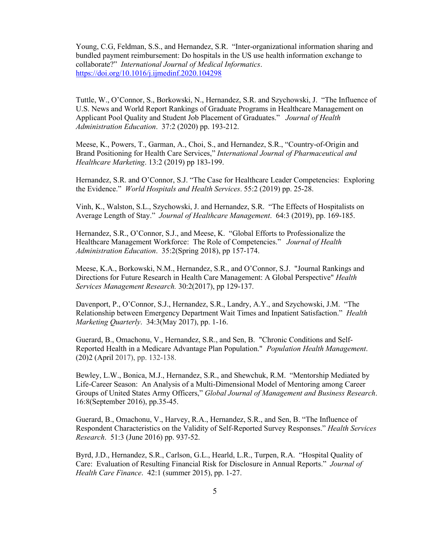Young, C.G, Feldman, S.S., and Hernandez, S.R. "Inter-organizational information sharing and bundled payment reimbursement: Do hospitals in the US use health information exchange to collaborate?" *International Journal of Medical Informatics*. <https://doi.org/10.1016/j.ijmedinf.2020.104298>

Tuttle, W., O'Connor, S., Borkowski, N., Hernandez, S.R. and Szychowski, J. "The Influence of U.S. News and World Report Rankings of Graduate Programs in Healthcare Management on Applicant Pool Quality and Student Job Placement of Graduates." *Journal of Health Administration Education*. 37:2 (2020) pp. 193-212.

Meese, K., Powers, T., Garman, A., Choi, S., and Hernandez, S.R., "Country-of-Origin and Brand Positioning for Health Care Services," *International Journal of Pharmaceutical and Healthcare Marketing*. 13:2 (2019) pp 183-199.

Hernandez, S.R. and O'Connor, S.J. "The Case for Healthcare Leader Competencies: Exploring the Evidence." *World Hospitals and Health Services*. 55:2 (2019) pp. 25-28.

Vinh, K., Walston, S.L., Szychowski, J. and Hernandez, S.R. "The Effects of Hospitalists on Average Length of Stay." *Journal of Healthcare Management*. 64:3 (2019), pp. 169-185.

Hernandez, S.R., O'Connor, S.J., and Meese, K. "Global Efforts to Professionalize the Healthcare Management Workforce: The Role of Competencies." *Journal of Health Administration Education*. 35:2(Spring 2018), pp 157-174.

Meese, K.A., Borkowski, N.M., Hernandez, S.R., and O'Connor, S.J. "Journal Rankings and Directions for Future Research in Health Care Management: A Global Perspective" *Health Services Management Research.* 30:2(2017), pp 129-137.

Davenport, P., O'Connor, S.J., Hernandez, S.R., Landry, A.Y., and Szychowski, J.M. "The Relationship between Emergency Department Wait Times and Inpatient Satisfaction." *Health Marketing Quarterly*. 34:3(May 2017), pp. 1-16.

Guerard, B., Omachonu, V., Hernandez, S.R., and Sen, B. "Chronic Conditions and Self-Reported Health in a Medicare Advantage Plan Population." *Population Health Management*. (20)2 (April 2017), pp. 132-138.

Bewley, L.W., Bonica, M.J., Hernandez, S.R., and Shewchuk, R.M. "Mentorship Mediated by Life-Career Season: An Analysis of a Multi-Dimensional Model of Mentoring among Career Groups of United States Army Officers," *Global Journal of Management and Business Research*. 16:8(September 2016), pp.35-45.

Guerard, B., Omachonu, V., Harvey, R.A., Hernandez, S.R., and Sen, B. "The Influence of Respondent Characteristics on the Validity of Self-Reported Survey Responses." *Health Services Research*. 51:3 (June 2016) pp. 937-52.

Byrd, J.D., Hernandez, S.R., Carlson, G.L., Hearld, L.R., Turpen, R.A. "Hospital Quality of Care: Evaluation of Resulting Financial Risk for Disclosure in Annual Reports." *Journal of Health Care Finance*. 42:1 (summer 2015), pp. 1-27.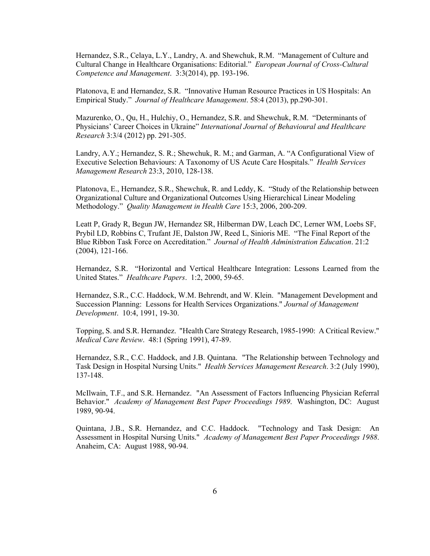Hernandez, S.R., Celaya, L.Y., Landry, A. and Shewchuk, R.M. "Management of Culture and Cultural Change in Healthcare Organisations: Editorial." *European Journal of Cross-Cultural Competence and Management*. 3:3(2014), pp. 193-196.

Platonova, E and Hernandez, S.R. "Innovative Human Resource Practices in US Hospitals: An Empirical Study." *Journal of Healthcare Management*. 58:4 (2013), pp.290-301.

Mazurenko, O., Qu, H., Hulchiy, O., Hernandez, S.R. and Shewchuk, R.M. "Determinants of Physicians' Career Choices in Ukraine" *International Journal of Behavioural and Healthcare Research* 3:3/4 (2012) pp. 291-305.

Landry, A.Y.; Hernandez, S. R.; Shewchuk, R. M.; and Garman, A. "A Configurational View of Executive Selection Behaviours: A Taxonomy of US Acute Care Hospitals." *Health Services Management Research* 23:3, 2010, 128-138.

Platonova, E., Hernandez, S.R., Shewchuk, R. and Leddy, K. "Study of the Relationship between Organizational Culture and Organizational Outcomes Using Hierarchical Linear Modeling Methodology." *Quality Management in Health Care* 15:3, 2006, 200-209.

Leatt P, Grady R, Begun JW, Hernandez SR, Hilberman DW, Leach DC, Lerner WM, Loebs SF, Prybil LD, Robbins C, Trufant JE, Dalston JW, Reed L, Sinioris ME. "The Final Report of the Blue Ribbon Task Force on Accreditation." *Journal of Health Administration Education*. 21:2 (2004), 121-166.

Hernandez, S.R. "Horizontal and Vertical Healthcare Integration: Lessons Learned from the United States." *Healthcare Papers*. 1:2, 2000, 59-65.

Hernandez, S.R., C.C. Haddock, W.M. Behrendt, and W. Klein. "Management Development and Succession Planning: Lessons for Health Services Organizations." *Journal of Management Development*. 10:4, 1991, 19-30.

Topping, S. and S.R. Hernandez. "Health Care Strategy Research, 1985-1990: A Critical Review." *Medical Care Review*. 48:1 (Spring 1991), 47-89.

Hernandez, S.R., C.C. Haddock, and J.B. Quintana. "The Relationship between Technology and Task Design in Hospital Nursing Units." *Health Services Management Research*. 3:2 (July 1990), 137-148.

McIlwain, T.F., and S.R. Hernandez. "An Assessment of Factors Influencing Physician Referral Behavior." *Academy of Management Best Paper Proceedings 1989*. Washington, DC: August 1989, 90-94.

Quintana, J.B., S.R. Hernandez, and C.C. Haddock. "Technology and Task Design: An Assessment in Hospital Nursing Units." *Academy of Management Best Paper Proceedings 1988*. Anaheim, CA: August 1988, 90-94.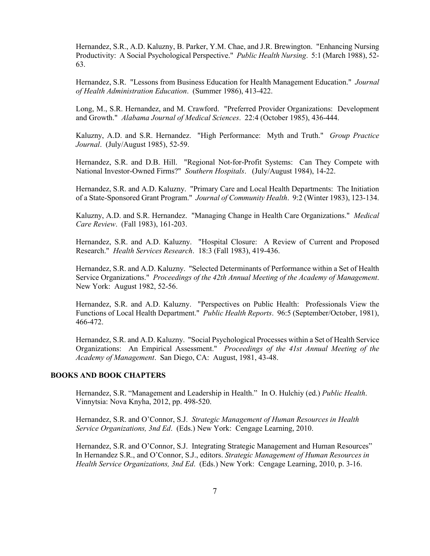Hernandez, S.R., A.D. Kaluzny, B. Parker, Y.M. Chae, and J.R. Brewington. "Enhancing Nursing Productivity: A Social Psychological Perspective." *Public Health Nursing*. 5:1 (March 1988), 52- 63.

Hernandez, S.R. "Lessons from Business Education for Health Management Education." *Journal of Health Administration Education*. (Summer 1986), 413-422.

Long, M., S.R. Hernandez, and M. Crawford. "Preferred Provider Organizations: Development and Growth." *Alabama Journal of Medical Sciences*. 22:4 (October 1985), 436-444.

Kaluzny, A.D. and S.R. Hernandez. "High Performance: Myth and Truth." *Group Practice Journal*. (July/August 1985), 52-59.

Hernandez, S.R. and D.B. Hill. "Regional Not-for-Profit Systems: Can They Compete with National Investor-Owned Firms?" *Southern Hospitals*. (July/August 1984), 14-22.

Hernandez, S.R. and A.D. Kaluzny. "Primary Care and Local Health Departments: The Initiation of a State-Sponsored Grant Program." *Journal of Community Health*. 9:2 (Winter 1983), 123-134.

Kaluzny, A.D. and S.R. Hernandez. "Managing Change in Health Care Organizations." *Medical Care Review*. (Fall 1983), 161-203.

Hernandez, S.R. and A.D. Kaluzny. "Hospital Closure: A Review of Current and Proposed Research." *Health Services Research*. 18:3 (Fall 1983), 419-436.

Hernandez, S.R. and A.D. Kaluzny. "Selected Determinants of Performance within a Set of Health Service Organizations." *Proceedings of the 42th Annual Meeting of the Academy of Management*. New York: August 1982, 52-56.

Hernandez, S.R. and A.D. Kaluzny. "Perspectives on Public Health: Professionals View the Functions of Local Health Department." *Public Health Reports*. 96:5 (September/October, 1981), 466-472.

Hernandez, S.R. and A.D. Kaluzny. "Social Psychological Processes within a Set of Health Service Organizations: An Empirical Assessment." *Proceedings of the 41st Annual Meeting of the Academy of Management*. San Diego, CA: August, 1981, 43-48.

## **BOOKS AND BOOK CHAPTERS**

Hernandez, S.R. "Management and Leadership in Health." In O. Hulchiy (ed.) *Public Health*. Vinnytsia: Nova Knyha, 2012, pp. 498-520.

Hernandez, S.R. and O'Connor, S.J. *Strategic Management of Human Resources in Health Service Organizations, 3nd Ed*. (Eds.) New York: Cengage Learning, 2010.

Hernandez, S.R. and O'Connor, S.J. Integrating Strategic Management and Human Resources" In Hernandez S.R., and O'Connor, S.J., editors. *Strategic Management of Human Resources in Health Service Organizations, 3nd Ed*. (Eds.) New York: Cengage Learning, 2010, p. 3-16.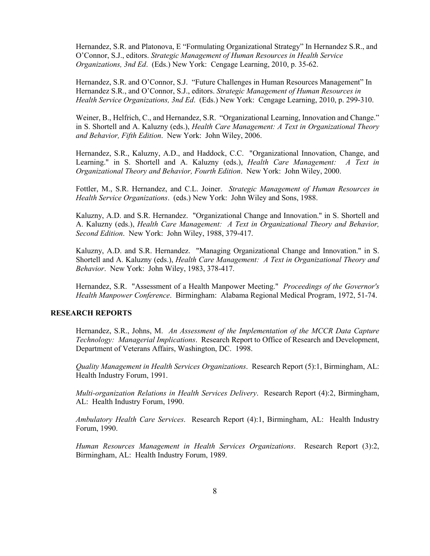Hernandez, S.R. and Platonova, E "Formulating Organizational Strategy" In Hernandez S.R., and O'Connor, S.J., editors. *Strategic Management of Human Resources in Health Service Organizations, 3nd Ed*. (Eds.) New York: Cengage Learning, 2010, p. 35-62.

Hernandez, S.R. and O'Connor, S.J. "Future Challenges in Human Resources Management" In Hernandez S.R., and O'Connor, S.J., editors. *Strategic Management of Human Resources in Health Service Organizations, 3nd Ed*. (Eds.) New York: Cengage Learning, 2010, p. 299-310.

Weiner, B., Helfrich, C., and Hernandez, S.R. "Organizational Learning, Innovation and Change." in S. Shortell and A. Kaluzny (eds.), *Health Care Management: A Text in Organizational Theory and Behavior, Fifth Edition*. New York: John Wiley, 2006.

Hernandez, S.R., Kaluzny, A.D., and Haddock, C.C. "Organizational Innovation, Change, and Learning." in S. Shortell and A. Kaluzny (eds.), *Health Care Management: A Text in Organizational Theory and Behavior, Fourth Edition*. New York: John Wiley, 2000.

Fottler, M., S.R. Hernandez, and C.L. Joiner. *Strategic Management of Human Resources in Health Service Organizations*. (eds.) New York: John Wiley and Sons, 1988.

Kaluzny, A.D. and S.R. Hernandez. "Organizational Change and Innovation." in S. Shortell and A. Kaluzny (eds.), *Health Care Management: A Text in Organizational Theory and Behavior, Second Edition*. New York: John Wiley, 1988, 379-417.

Kaluzny, A.D. and S.R. Hernandez. "Managing Organizational Change and Innovation." in S. Shortell and A. Kaluzny (eds.), *Health Care Management: A Text in Organizational Theory and Behavior*. New York: John Wiley, 1983, 378-417.

Hernandez, S.R. "Assessment of a Health Manpower Meeting." *Proceedings of the Governor's Health Manpower Conference*. Birmingham: Alabama Regional Medical Program, 1972, 51-74.

#### **RESEARCH REPORTS**

Hernandez, S.R., Johns, M. *An Assessment of the Implementation of the MCCR Data Capture Technology: Managerial Implications*. Research Report to Office of Research and Development, Department of Veterans Affairs, Washington, DC. 1998.

*Quality Management in Health Services Organizations*. Research Report (5):1, Birmingham, AL: Health Industry Forum, 1991.

*Multi-organization Relations in Health Services Delivery*. Research Report (4):2, Birmingham, AL: Health Industry Forum, 1990.

*Ambulatory Health Care Services*. Research Report (4):1, Birmingham, AL: Health Industry Forum, 1990.

*Human Resources Management in Health Services Organizations*. Research Report (3):2, Birmingham, AL: Health Industry Forum, 1989.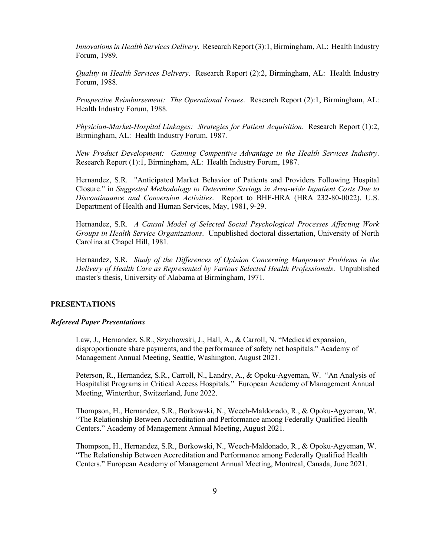*Innovations in Health Services Delivery*. Research Report (3):1, Birmingham, AL: Health Industry Forum, 1989.

*Quality in Health Services Delivery*. Research Report (2):2, Birmingham, AL: Health Industry Forum, 1988.

*Prospective Reimbursement: The Operational Issues*. Research Report (2):1, Birmingham, AL: Health Industry Forum, 1988.

*Physician-Market-Hospital Linkages: Strategies for Patient Acquisition*. Research Report (1):2, Birmingham, AL: Health Industry Forum, 1987.

*New Product Development: Gaining Competitive Advantage in the Health Services Industry*. Research Report (1):1, Birmingham, AL: Health Industry Forum, 1987.

Hernandez, S.R. "Anticipated Market Behavior of Patients and Providers Following Hospital Closure." in *Suggested Methodology to Determine Savings in Area-wide Inpatient Costs Due to Discontinuance and Conversion Activities*. Report to BHF-HRA (HRA 232-80-0022), U.S. Department of Health and Human Services, May, 1981, 9-29.

Hernandez, S.R. *A Causal Model of Selected Social Psychological Processes Affecting Work Groups in Health Service Organizations*. Unpublished doctoral dissertation, University of North Carolina at Chapel Hill, 1981.

Hernandez, S.R. *Study of the Differences of Opinion Concerning Manpower Problems in the Delivery of Health Care as Represented by Various Selected Health Professionals*. Unpublished master's thesis, University of Alabama at Birmingham, 1971.

#### **PRESENTATIONS**

#### *Refereed Paper Presentations*

Law, J., Hernandez, S.R., Szychowski, J., Hall, A., & Carroll, N. "Medicaid expansion, disproportionate share payments, and the performance of safety net hospitals." Academy of Management Annual Meeting, Seattle, Washington, August 2021.

Peterson, R., Hernandez, S.R., Carroll, N., Landry, A., & Opoku-Agyeman, W. "An Analysis of Hospitalist Programs in Critical Access Hospitals." European Academy of Management Annual Meeting, Winterthur, Switzerland, June 2022.

Thompson, H., Hernandez, S.R., Borkowski, N., Weech-Maldonado, R., & Opoku-Agyeman, W. "The Relationship Between Accreditation and Performance among Federally Qualified Health Centers." Academy of Management Annual Meeting, August 2021.

Thompson, H., Hernandez, S.R., Borkowski, N., Weech-Maldonado, R., & Opoku-Agyeman, W. "The Relationship Between Accreditation and Performance among Federally Qualified Health Centers." European Academy of Management Annual Meeting, Montreal, Canada, June 2021.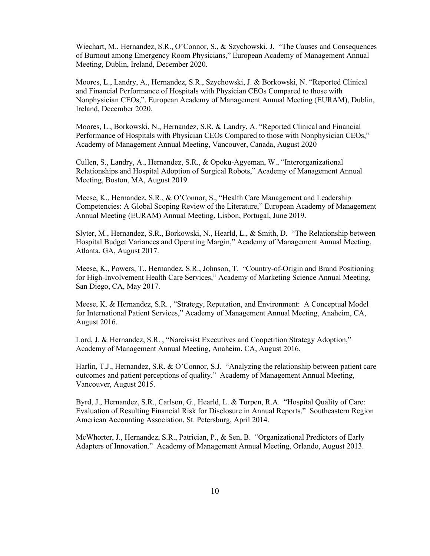Wiechart, M., Hernandez, S.R., O'Connor, S., & Szychowski, J. "The Causes and Consequences of Burnout among Emergency Room Physicians," European Academy of Management Annual Meeting, Dublin, Ireland, December 2020.

Moores, L., Landry, A., Hernandez, S.R., Szychowski, J. & Borkowski, N. "Reported Clinical and Financial Performance of Hospitals with Physician CEOs Compared to those with Nonphysician CEOs,". European Academy of Management Annual Meeting (EURAM), Dublin, Ireland, December 2020.

Moores, L., Borkowski, N., Hernandez, S.R. & Landry, A. "Reported Clinical and Financial Performance of Hospitals with Physician CEOs Compared to those with Nonphysician CEOs," Academy of Management Annual Meeting, Vancouver, Canada, August 2020

Cullen, S., Landry, A., Hernandez, S.R., & Opoku-Agyeman, W., "Interorganizational Relationships and Hospital Adoption of Surgical Robots," Academy of Management Annual Meeting, Boston, MA, August 2019.

Meese, K., Hernandez, S.R., & O'Connor, S., "Health Care Management and Leadership Competencies: A Global Scoping Review of the Literature," European Academy of Management Annual Meeting (EURAM) Annual Meeting, Lisbon, Portugal, June 2019.

Slyter, M., Hernandez, S.R., Borkowski, N., Hearld, L., & Smith, D. "The Relationship between Hospital Budget Variances and Operating Margin," Academy of Management Annual Meeting, Atlanta, GA, August 2017.

Meese, K., Powers, T., Hernandez, S.R., Johnson, T. "Country-of-Origin and Brand Positioning for High-Involvement Health Care Services," Academy of Marketing Science Annual Meeting, San Diego, CA, May 2017.

Meese, K. & Hernandez, S.R. , "Strategy, Reputation, and Environment: A Conceptual Model for International Patient Services," Academy of Management Annual Meeting, Anaheim, CA, August 2016.

Lord, J. & Hernandez, S.R. , "Narcissist Executives and Coopetition Strategy Adoption," Academy of Management Annual Meeting, Anaheim, CA, August 2016.

Harlin, T.J., Hernandez, S.R. & O'Connor, S.J. "Analyzing the relationship between patient care outcomes and patient perceptions of quality." Academy of Management Annual Meeting, Vancouver, August 2015.

Byrd, J., Hernandez, S.R., Carlson, G., Hearld, L. & Turpen, R.A. "Hospital Quality of Care: Evaluation of Resulting Financial Risk for Disclosure in Annual Reports." Southeastern Region American Accounting Association, St. Petersburg, April 2014.

McWhorter, J., Hernandez, S.R., Patrician, P., & Sen, B. "Organizational Predictors of Early Adapters of Innovation." Academy of Management Annual Meeting, Orlando, August 2013.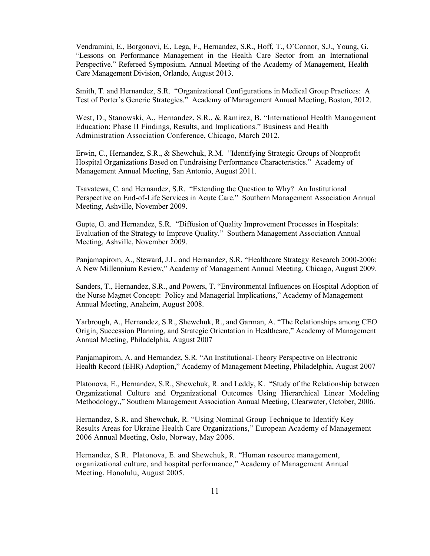Vendramini, E., Borgonovi, E., Lega, F., Hernandez, S.R., Hoff, T., O'Connor, S.J., Young, G. "Lessons on Performance Management in the Health Care Sector from an International Perspective." Refereed Symposium. Annual Meeting of the Academy of Management, Health Care Management Division, Orlando, August 2013.

Smith, T. and Hernandez, S.R. "Organizational Configurations in Medical Group Practices: A Test of Porter's Generic Strategies."Academy of Management Annual Meeting, Boston, 2012.

West, D., Stanowski, A., Hernandez, S.R., & Ramirez, B. "International Health Management Education: Phase II Findings, Results, and Implications." Business and Health Administration Association Conference, Chicago, March 2012.

Erwin, C., Hernandez, S.R., & Shewchuk, R.M. "Identifying Strategic Groups of Nonprofit Hospital Organizations Based on Fundraising Performance Characteristics." Academy of Management Annual Meeting, San Antonio, August 2011.

Tsavatewa, C. and Hernandez, S.R. "Extending the Question to Why? An Institutional Perspective on End-of-Life Services in Acute Care." Southern Management Association Annual Meeting, Ashville, November 2009.

Gupte, G. and Hernandez, S.R. "Diffusion of Quality Improvement Processes in Hospitals: Evaluation of the Strategy to Improve Quality." Southern Management Association Annual Meeting, Ashville, November 2009.

Panjamapirom, A., Steward, J.L. and Hernandez, S.R. "Healthcare Strategy Research 2000-2006: A New Millennium Review," Academy of Management Annual Meeting, Chicago, August 2009.

Sanders, T., Hernandez, S.R., and Powers, T. "Environmental Influences on Hospital Adoption of the Nurse Magnet Concept: Policy and Managerial Implications," Academy of Management Annual Meeting, Anaheim, August 2008.

Yarbrough, A., Hernandez, S.R., Shewchuk, R., and Garman, A. "The Relationships among CEO Origin, Succession Planning, and Strategic Orientation in Healthcare," Academy of Management Annual Meeting, Philadelphia, August 2007

Panjamapirom, A. and Hernandez, S.R. "An Institutional-Theory Perspective on Electronic Health Record (EHR) Adoption," Academy of Management Meeting, Philadelphia, August 2007

Platonova, E., Hernandez, S.R., Shewchuk, R. and Leddy, K. "Study of the Relationship between Organizational Culture and Organizational Outcomes Using Hierarchical Linear Modeling Methodology.," Southern Management Association Annual Meeting, Clearwater, October, 2006.

Hernandez, S.R. and Shewchuk, R. "Using Nominal Group Technique to Identify Key Results Areas for Ukraine Health Care Organizations," European Academy of Management 2006 Annual Meeting, Oslo, Norway, May 2006.

Hernandez, S.R. Platonova, E. and Shewchuk, R. "Human resource management, organizational culture, and hospital performance," Academy of Management Annual Meeting, Honolulu, August 2005.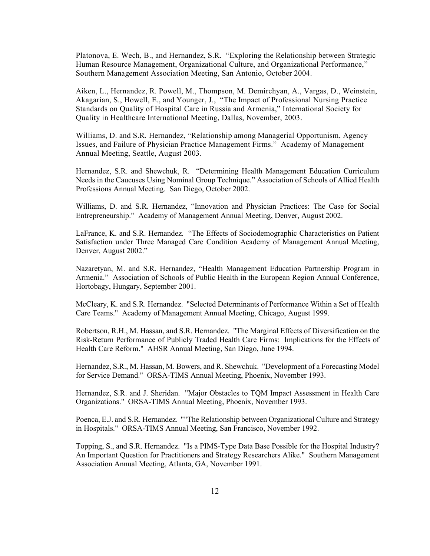Platonova, E. Wech, B., and Hernandez, S.R. "Exploring the Relationship between Strategic Human Resource Management, Organizational Culture, and Organizational Performance," Southern Management Association Meeting, San Antonio, October 2004.

Aiken, L., Hernandez, R. Powell, M., Thompson, M. Demirchyan, A., Vargas, D., Weinstein, Akagarian, S., Howell, E., and Younger, J., "The Impact of Professional Nursing Practice Standards on Quality of Hospital Care in Russia and Armenia," International Society for Quality in Healthcare International Meeting, Dallas, November, 2003.

Williams, D. and S.R. Hernandez, "Relationship among Managerial Opportunism, Agency Issues, and Failure of Physician Practice Management Firms." Academy of Management Annual Meeting, Seattle, August 2003.

Hernandez, S.R. and Shewchuk, R. "Determining Health Management Education Curriculum Needs in the Caucuses Using Nominal Group Technique." Association of Schools of Allied Health Professions Annual Meeting. San Diego, October 2002.

Williams, D. and S.R. Hernandez, "Innovation and Physician Practices: The Case for Social Entrepreneurship." Academy of Management Annual Meeting, Denver, August 2002.

LaFrance, K. and S.R. Hernandez. "The Effects of Sociodemographic Characteristics on Patient Satisfaction under Three Managed Care Condition Academy of Management Annual Meeting, Denver, August 2002."

Nazaretyan, M. and S.R. Hernandez, "Health Management Education Partnership Program in Armenia." Association of Schools of Public Health in the European Region Annual Conference, Hortobagy, Hungary, September 2001.

McCleary, K. and S.R. Hernandez. "Selected Determinants of Performance Within a Set of Health Care Teams." Academy of Management Annual Meeting, Chicago, August 1999.

Robertson, R.H., M. Hassan, and S.R. Hernandez. "The Marginal Effects of Diversification on the Risk-Return Performance of Publicly Traded Health Care Firms: Implications for the Effects of Health Care Reform." AHSR Annual Meeting, San Diego, June 1994.

Hernandez, S.R., M. Hassan, M. Bowers, and R. Shewchuk. "Development of a Forecasting Model for Service Demand." ORSA-TIMS Annual Meeting, Phoenix, November 1993.

Hernandez, S.R. and J. Sheridan. "Major Obstacles to TQM Impact Assessment in Health Care Organizations." ORSA-TIMS Annual Meeting, Phoenix, November 1993.

Poenca, E.J. and S.R. Hernandez. ""The Relationship between Organizational Culture and Strategy in Hospitals." ORSA-TIMS Annual Meeting, San Francisco, November 1992.

Topping, S., and S.R. Hernandez. "Is a PIMS-Type Data Base Possible for the Hospital Industry? An Important Question for Practitioners and Strategy Researchers Alike." Southern Management Association Annual Meeting, Atlanta, GA, November 1991.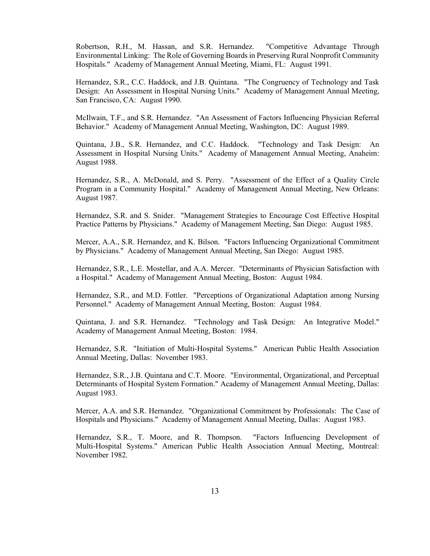Robertson, R.H., M. Hassan, and S.R. Hernandez. "Competitive Advantage Through Environmental Linking: The Role of Governing Boards in Preserving Rural Nonprofit Community Hospitals." Academy of Management Annual Meeting, Miami, FL: August 1991.

Hernandez, S.R., C.C. Haddock, and J.B. Quintana. "The Congruency of Technology and Task Design: An Assessment in Hospital Nursing Units." Academy of Management Annual Meeting, San Francisco, CA: August 1990.

McIlwain, T.F., and S.R. Hernandez. "An Assessment of Factors Influencing Physician Referral Behavior." Academy of Management Annual Meeting, Washington, DC: August 1989.

Quintana, J.B., S.R. Hernandez, and C.C. Haddock. "Technology and Task Design: An Assessment in Hospital Nursing Units." Academy of Management Annual Meeting, Anaheim: August 1988.

Hernandez, S.R., A. McDonald, and S. Perry. "Assessment of the Effect of a Quality Circle Program in a Community Hospital." Academy of Management Annual Meeting, New Orleans: August 1987.

Hernandez, S.R. and S. Snider. "Management Strategies to Encourage Cost Effective Hospital Practice Patterns by Physicians." Academy of Management Meeting, San Diego: August 1985.

Mercer, A.A., S.R. Hernandez, and K. Bilson. "Factors Influencing Organizational Commitment by Physicians." Academy of Management Annual Meeting, San Diego: August 1985.

Hernandez, S.R., L.E. Mostellar, and A.A. Mercer. "Determinants of Physician Satisfaction with a Hospital." Academy of Management Annual Meeting, Boston: August 1984.

Hernandez, S.R., and M.D. Fottler. "Perceptions of Organizational Adaptation among Nursing Personnel." Academy of Management Annual Meeting, Boston: August 1984.

Quintana, J. and S.R. Hernandez. "Technology and Task Design: An Integrative Model." Academy of Management Annual Meeting, Boston: 1984.

Hernandez, S.R. "Initiation of Multi-Hospital Systems." American Public Health Association Annual Meeting, Dallas: November 1983.

Hernandez, S.R., J.B. Quintana and C.T. Moore. "Environmental, Organizational, and Perceptual Determinants of Hospital System Formation." Academy of Management Annual Meeting, Dallas: August 1983.

Mercer, A.A. and S.R. Hernandez. "Organizational Commitment by Professionals: The Case of Hospitals and Physicians." Academy of Management Annual Meeting, Dallas: August 1983.

Hernandez, S.R., T. Moore, and R. Thompson. "Factors Influencing Development of Multi-Hospital Systems." American Public Health Association Annual Meeting, Montreal: November 1982.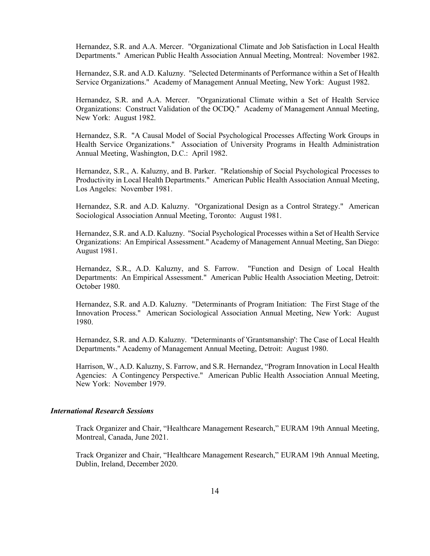Hernandez, S.R. and A.A. Mercer. "Organizational Climate and Job Satisfaction in Local Health Departments." American Public Health Association Annual Meeting, Montreal: November 1982.

Hernandez, S.R. and A.D. Kaluzny. "Selected Determinants of Performance within a Set of Health Service Organizations." Academy of Management Annual Meeting, New York: August 1982.

Hernandez, S.R. and A.A. Mercer. "Organizational Climate within a Set of Health Service Organizations: Construct Validation of the OCDQ." Academy of Management Annual Meeting, New York: August 1982.

Hernandez, S.R. "A Causal Model of Social Psychological Processes Affecting Work Groups in Health Service Organizations." Association of University Programs in Health Administration Annual Meeting, Washington, D.C.: April 1982.

Hernandez, S.R., A. Kaluzny, and B. Parker. "Relationship of Social Psychological Processes to Productivity in Local Health Departments." American Public Health Association Annual Meeting, Los Angeles: November 1981.

Hernandez, S.R. and A.D. Kaluzny. "Organizational Design as a Control Strategy." American Sociological Association Annual Meeting, Toronto: August 1981.

Hernandez, S.R. and A.D. Kaluzny. "Social Psychological Processes within a Set of Health Service Organizations: An Empirical Assessment." Academy of Management Annual Meeting, San Diego: August 1981.

Hernandez, S.R., A.D. Kaluzny, and S. Farrow. "Function and Design of Local Health Departments: An Empirical Assessment." American Public Health Association Meeting, Detroit: October 1980.

Hernandez, S.R. and A.D. Kaluzny. "Determinants of Program Initiation: The First Stage of the Innovation Process." American Sociological Association Annual Meeting, New York: August 1980.

Hernandez, S.R. and A.D. Kaluzny. "Determinants of 'Grantsmanship': The Case of Local Health Departments." Academy of Management Annual Meeting, Detroit: August 1980.

Harrison, W., A.D. Kaluzny, S. Farrow, and S.R. Hernandez, "Program Innovation in Local Health Agencies: A Contingency Perspective." American Public Health Association Annual Meeting, New York: November 1979.

### *International Research Sessions*

Track Organizer and Chair, "Healthcare Management Research," EURAM 19th Annual Meeting, Montreal, Canada, June 2021.

Track Organizer and Chair, "Healthcare Management Research," EURAM 19th Annual Meeting, Dublin, Ireland, December 2020.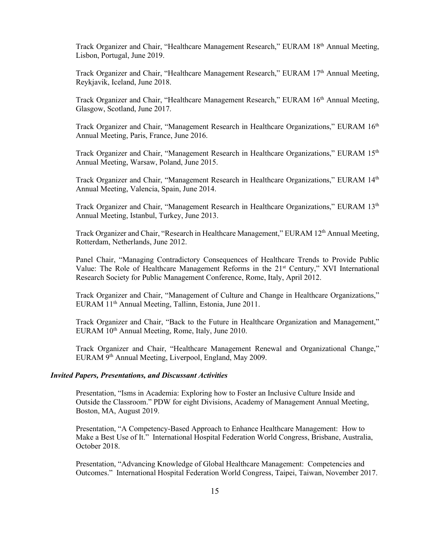Track Organizer and Chair, "Healthcare Management Research," EURAM 18<sup>th</sup> Annual Meeting, Lisbon, Portugal, June 2019.

Track Organizer and Chair, "Healthcare Management Research," EURAM 17<sup>th</sup> Annual Meeting, Reykjavik, Iceland, June 2018.

Track Organizer and Chair, "Healthcare Management Research," EURAM 16<sup>th</sup> Annual Meeting, Glasgow, Scotland, June 2017.

Track Organizer and Chair, "Management Research in Healthcare Organizations," EURAM 16<sup>th</sup> Annual Meeting, Paris, France, June 2016.

Track Organizer and Chair, "Management Research in Healthcare Organizations," EURAM 15<sup>th</sup> Annual Meeting, Warsaw, Poland, June 2015.

Track Organizer and Chair, "Management Research in Healthcare Organizations," EURAM 14th Annual Meeting, Valencia, Spain, June 2014.

Track Organizer and Chair, "Management Research in Healthcare Organizations," EURAM 13<sup>th</sup> Annual Meeting, Istanbul, Turkey, June 2013.

Track Organizer and Chair, "Research in Healthcare Management," EURAM 12<sup>th</sup> Annual Meeting, Rotterdam, Netherlands, June 2012.

Panel Chair, "Managing Contradictory Consequences of Healthcare Trends to Provide Public Value: The Role of Healthcare Management Reforms in the 21<sup>st</sup> Century," XVI International Research Society for Public Management Conference, Rome, Italy, April 2012.

Track Organizer and Chair, "Management of Culture and Change in Healthcare Organizations," EURAM 11th Annual Meeting, Tallinn, Estonia, June 2011.

Track Organizer and Chair, "Back to the Future in Healthcare Organization and Management," EURAM  $10^{th}$  Annual Meeting, Rome, Italy, June 2010.

Track Organizer and Chair, "Healthcare Management Renewal and Organizational Change," EURAM 9th Annual Meeting, Liverpool, England, May 2009.

#### *Invited Papers, Presentations, and Discussant Activities*

Presentation, "Isms in Academia: Exploring how to Foster an Inclusive Culture Inside and Outside the Classroom." PDW for eight Divisions, Academy of Management Annual Meeting, Boston, MA, August 2019.

Presentation, "A Competency-Based Approach to Enhance Healthcare Management: How to Make a Best Use of It." International Hospital Federation World Congress, Brisbane, Australia, October 2018.

Presentation, "Advancing Knowledge of Global Healthcare Management: Competencies and Outcomes." International Hospital Federation World Congress, Taipei, Taiwan, November 2017.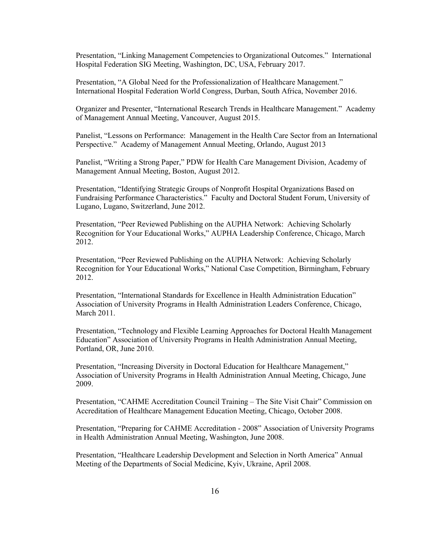Presentation, "Linking Management Competencies to Organizational Outcomes." International Hospital Federation SIG Meeting, Washington, DC, USA, February 2017.

Presentation, "A Global Need for the Professionalization of Healthcare Management." International Hospital Federation World Congress, Durban, South Africa, November 2016.

Organizer and Presenter, "International Research Trends in Healthcare Management." Academy of Management Annual Meeting, Vancouver, August 2015.

Panelist, "Lessons on Performance: Management in the Health Care Sector from an International Perspective." Academy of Management Annual Meeting, Orlando, August 2013

Panelist, "Writing a Strong Paper," PDW for Health Care Management Division, Academy of Management Annual Meeting, Boston, August 2012.

Presentation, "Identifying Strategic Groups of Nonprofit Hospital Organizations Based on Fundraising Performance Characteristics." Faculty and Doctoral Student Forum, University of Lugano, Lugano, Switzerland, June 2012.

Presentation, "Peer Reviewed Publishing on the AUPHA Network: Achieving Scholarly Recognition for Your Educational Works," AUPHA Leadership Conference, Chicago, March 2012.

Presentation, "Peer Reviewed Publishing on the AUPHA Network: Achieving Scholarly Recognition for Your Educational Works," National Case Competition, Birmingham, February 2012.

Presentation, "International Standards for Excellence in Health Administration Education" Association of University Programs in Health Administration Leaders Conference, Chicago, March 2011.

Presentation, "Technology and Flexible Learning Approaches for Doctoral Health Management Education" Association of University Programs in Health Administration Annual Meeting, Portland, OR, June 2010.

Presentation, "Increasing Diversity in Doctoral Education for Healthcare Management," Association of University Programs in Health Administration Annual Meeting, Chicago, June 2009.

Presentation, "CAHME Accreditation Council Training – The Site Visit Chair" Commission on Accreditation of Healthcare Management Education Meeting, Chicago, October 2008.

Presentation, "Preparing for CAHME Accreditation - 2008" Association of University Programs in Health Administration Annual Meeting, Washington, June 2008.

Presentation, "Healthcare Leadership Development and Selection in North America" Annual Meeting of the Departments of Social Medicine, Kyiv, Ukraine, April 2008.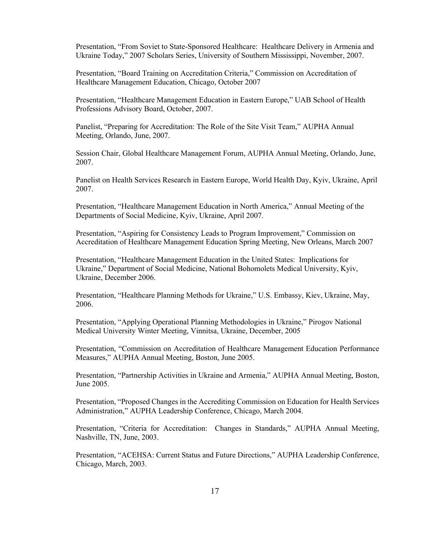Presentation, "From Soviet to State-Sponsored Healthcare: Healthcare Delivery in Armenia and Ukraine Today," 2007 Scholars Series, University of Southern Mississippi, November, 2007.

Presentation, "Board Training on Accreditation Criteria," Commission on Accreditation of Healthcare Management Education, Chicago, October 2007

Presentation, "Healthcare Management Education in Eastern Europe," UAB School of Health Professions Advisory Board, October, 2007.

Panelist, "Preparing for Accreditation: The Role of the Site Visit Team," AUPHA Annual Meeting, Orlando, June, 2007.

Session Chair, Global Healthcare Management Forum, AUPHA Annual Meeting, Orlando, June, 2007.

Panelist on Health Services Research in Eastern Europe, World Health Day, Kyiv, Ukraine, April 2007.

Presentation, "Healthcare Management Education in North America," Annual Meeting of the Departments of Social Medicine, Kyiv, Ukraine, April 2007.

Presentation, "Aspiring for Consistency Leads to Program Improvement," Commission on Accreditation of Healthcare Management Education Spring Meeting, New Orleans, March 2007

Presentation, "Healthcare Management Education in the United States: Implications for Ukraine," Department of Social Medicine, National Bohomolets Medical University, Kyiv, Ukraine, December 2006.

Presentation, "Healthcare Planning Methods for Ukraine," U.S. Embassy, Kiev, Ukraine, May, 2006.

Presentation, "Applying Operational Planning Methodologies in Ukraine," Pirogov National Medical University Winter Meeting, Vinnitsa, Ukraine, December, 2005

Presentation, "Commission on Accreditation of Healthcare Management Education Performance Measures," AUPHA Annual Meeting, Boston, June 2005.

Presentation, "Partnership Activities in Ukraine and Armenia," AUPHA Annual Meeting, Boston, June 2005.

Presentation, "Proposed Changes in the Accrediting Commission on Education for Health Services Administration," AUPHA Leadership Conference, Chicago, March 2004.

Presentation, "Criteria for Accreditation: Changes in Standards," AUPHA Annual Meeting, Nashville, TN, June, 2003.

Presentation, "ACEHSA: Current Status and Future Directions," AUPHA Leadership Conference, Chicago, March, 2003.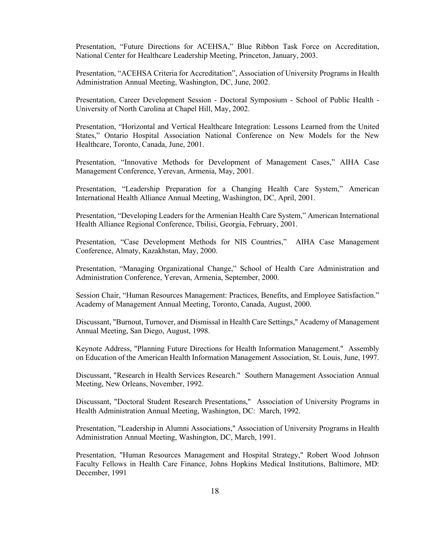Presentation, "Future Directions for ACEHSA," Blue Ribbon Task Force on Accreditation, National Center for Healthcare Leadership Meeting, Princeton, January, 2003.

Presentation, "ACEHSA Criteria for Accreditation", Association of University Programs in Health Administration Annual Meeting, Washington, DC, June, 2002.

Presentation, Career Development Session - Doctoral Symposium - School of Public Health - University of North Carolina at Chapel Hill, May, 2002.

Presentation, "Horizontal and Vertical Healthcare Integration: Lessons Learned from the United States," Ontario Hospital Association National Conference on New Models for the New Healthcare, Toronto, Canada, June, 2001.

Presentation, "Innovative Methods for Development of Management Cases," AIHA Case Management Conference, Yerevan, Armenia, May, 2001.

Presentation, "Leadership Preparation for a Changing Health Care System," American International Health Alliance Annual Meeting, Washington, DC, April, 2001.

Presentation, "Developing Leaders for the Armenian Health Care System," American International Health Alliance Regional Conference, Tbilisi, Georgia, February, 2001.

Presentation, "Case Development Methods for NIS Countries," AIHA Case Management Conference, Almaty, Kazakhstan, May, 2000.

Presentation, "Managing Organizational Change," School of Health Care Administration and Administration Conference, Yerevan, Armenia, September, 2000.

Session Chair, "Human Resources Management: Practices, Benefits, and Employee Satisfaction." Academy of Management Annual Meeting, Toronto, Canada, August, 2000.

Discussant, "Burnout, Turnover, and Dismissal in Health Care Settings," Academy of Management Annual Meeting, San Diego, August, 1998.

Keynote Address, "Planning Future Directions for Health Information Management." Assembly on Education of the American Health Information Management Association, St. Louis, June, 1997.

Discussant, "Research in Health Services Research." Southern Management Association Annual Meeting, New Orleans, November, 1992.

Discussant, "Doctoral Student Research Presentations," Association of University Programs in Health Administration Annual Meeting, Washington, DC: March, 1992.

Presentation, "Leadership in Alumni Associations," Association of University Programs in Health Administration Annual Meeting, Washington, DC, March, 1991.

Presentation, "Human Resources Management and Hospital Strategy," Robert Wood Johnson Faculty Fellows in Health Care Finance, Johns Hopkins Medical Institutions, Baltimore, MD: December, 1991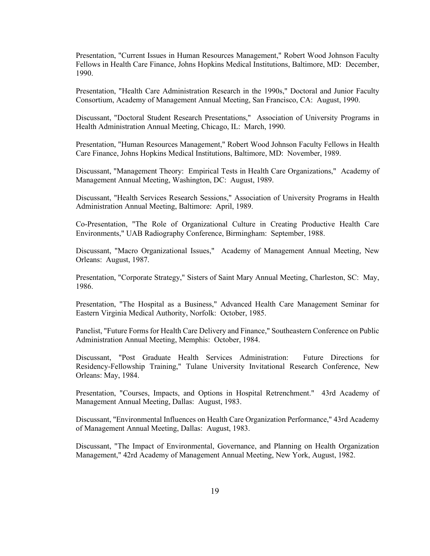Presentation, "Current Issues in Human Resources Management," Robert Wood Johnson Faculty Fellows in Health Care Finance, Johns Hopkins Medical Institutions, Baltimore, MD: December, 1990.

Presentation, "Health Care Administration Research in the 1990s," Doctoral and Junior Faculty Consortium, Academy of Management Annual Meeting, San Francisco, CA: August, 1990.

Discussant, "Doctoral Student Research Presentations," Association of University Programs in Health Administration Annual Meeting, Chicago, IL: March, 1990.

Presentation, "Human Resources Management," Robert Wood Johnson Faculty Fellows in Health Care Finance, Johns Hopkins Medical Institutions, Baltimore, MD: November, 1989.

Discussant, "Management Theory: Empirical Tests in Health Care Organizations," Academy of Management Annual Meeting, Washington, DC: August, 1989.

Discussant, "Health Services Research Sessions," Association of University Programs in Health Administration Annual Meeting, Baltimore: April, 1989.

Co-Presentation, "The Role of Organizational Culture in Creating Productive Health Care Environments," UAB Radiography Conference, Birmingham: September, 1988.

Discussant, "Macro Organizational Issues," Academy of Management Annual Meeting, New Orleans: August, 1987.

Presentation, "Corporate Strategy," Sisters of Saint Mary Annual Meeting, Charleston, SC: May, 1986.

Presentation, "The Hospital as a Business," Advanced Health Care Management Seminar for Eastern Virginia Medical Authority, Norfolk: October, 1985.

Panelist, "Future Forms for Health Care Delivery and Finance," Southeastern Conference on Public Administration Annual Meeting, Memphis: October, 1984.

Discussant, "Post Graduate Health Services Administration: Future Directions for Residency-Fellowship Training," Tulane University Invitational Research Conference, New Orleans: May, 1984.

Presentation, "Courses, Impacts, and Options in Hospital Retrenchment." 43rd Academy of Management Annual Meeting, Dallas: August, 1983.

Discussant, "Environmental Influences on Health Care Organization Performance," 43rd Academy of Management Annual Meeting, Dallas: August, 1983.

Discussant, "The Impact of Environmental, Governance, and Planning on Health Organization Management," 42rd Academy of Management Annual Meeting, New York, August, 1982.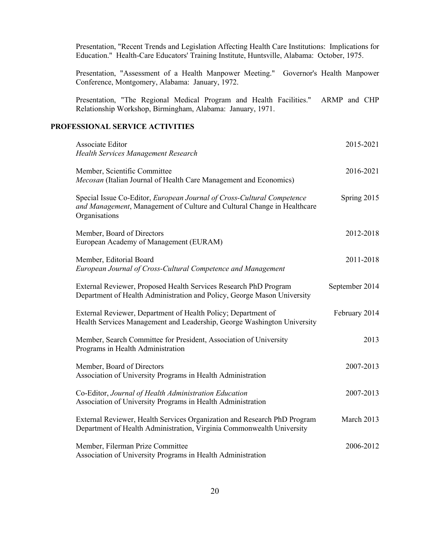Presentation, "Recent Trends and Legislation Affecting Health Care Institutions: Implications for Education." Health-Care Educators' Training Institute, Huntsville, Alabama: October, 1975.

Presentation, "Assessment of a Health Manpower Meeting." Governor's Health Manpower Conference, Montgomery, Alabama: January, 1972.

Presentation, "The Regional Medical Program and Health Facilities." ARMP and CHP Relationship Workshop, Birmingham, Alabama: January, 1971.

## **PROFESSIONAL SERVICE ACTIVITIES**

| Associate Editor<br>Health Services Management Research                                                                                                            | 2015-2021      |
|--------------------------------------------------------------------------------------------------------------------------------------------------------------------|----------------|
| Member, Scientific Committee<br>Mecosan (Italian Journal of Health Care Management and Economics)                                                                  | 2016-2021      |
| Special Issue Co-Editor, European Journal of Cross-Cultural Competence<br>and Management, Management of Culture and Cultural Change in Healthcare<br>Organisations | Spring 2015    |
| Member, Board of Directors<br>European Academy of Management (EURAM)                                                                                               | 2012-2018      |
| Member, Editorial Board<br>European Journal of Cross-Cultural Competence and Management                                                                            | 2011-2018      |
| External Reviewer, Proposed Health Services Research PhD Program<br>Department of Health Administration and Policy, George Mason University                        | September 2014 |
| External Reviewer, Department of Health Policy; Department of<br>Health Services Management and Leadership, George Washington University                           | February 2014  |
| Member, Search Committee for President, Association of University<br>Programs in Health Administration                                                             | 2013           |
| Member, Board of Directors<br>Association of University Programs in Health Administration                                                                          | 2007-2013      |
| Co-Editor, Journal of Health Administration Education<br>Association of University Programs in Health Administration                                               | 2007-2013      |
| External Reviewer, Health Services Organization and Research PhD Program<br>Department of Health Administration, Virginia Commonwealth University                  | March 2013     |
| Member, Filerman Prize Committee<br>Association of University Programs in Health Administration                                                                    | 2006-2012      |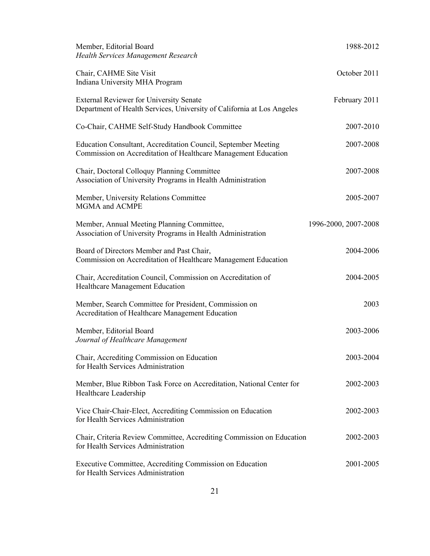| Member, Editorial Board<br>Health Services Management Research                                                                   | 1988-2012            |
|----------------------------------------------------------------------------------------------------------------------------------|----------------------|
| Chair, CAHME Site Visit<br>Indiana University MHA Program                                                                        | October 2011         |
| <b>External Reviewer for University Senate</b><br>Department of Health Services, University of California at Los Angeles         | February 2011        |
| Co-Chair, CAHME Self-Study Handbook Committee                                                                                    | 2007-2010            |
| Education Consultant, Accreditation Council, September Meeting<br>Commission on Accreditation of Healthcare Management Education | 2007-2008            |
| Chair, Doctoral Colloquy Planning Committee<br>Association of University Programs in Health Administration                       | 2007-2008            |
| Member, University Relations Committee<br>MGMA and ACMPE                                                                         | 2005-2007            |
| Member, Annual Meeting Planning Committee,<br>Association of University Programs in Health Administration                        | 1996-2000, 2007-2008 |
| Board of Directors Member and Past Chair,<br>Commission on Accreditation of Healthcare Management Education                      | 2004-2006            |
| Chair, Accreditation Council, Commission on Accreditation of<br>Healthcare Management Education                                  | 2004-2005            |
| Member, Search Committee for President, Commission on<br>Accreditation of Healthcare Management Education                        | 2003                 |
| Member, Editorial Board<br>Journal of Healthcare Management                                                                      | 2003-2006            |
| Chair, Accrediting Commission on Education<br>for Health Services Administration                                                 | 2003-2004            |
| Member, Blue Ribbon Task Force on Accreditation, National Center for<br>Healthcare Leadership                                    | 2002-2003            |
| Vice Chair-Chair-Elect, Accrediting Commission on Education<br>for Health Services Administration                                | 2002-2003            |
| Chair, Criteria Review Committee, Accrediting Commission on Education<br>for Health Services Administration                      | 2002-2003            |
| Executive Committee, Accrediting Commission on Education<br>for Health Services Administration                                   | 2001-2005            |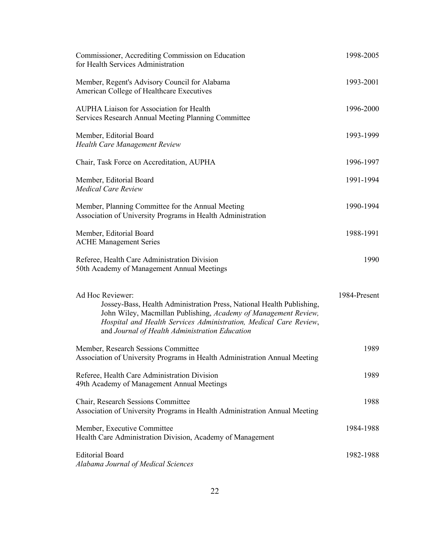| Commissioner, Accrediting Commission on Education<br>for Health Services Administration                                                                                                                                                                                             | 1998-2005    |
|-------------------------------------------------------------------------------------------------------------------------------------------------------------------------------------------------------------------------------------------------------------------------------------|--------------|
| Member, Regent's Advisory Council for Alabama<br>American College of Healthcare Executives                                                                                                                                                                                          | 1993-2001    |
| <b>AUPHA Liaison for Association for Health</b><br>Services Research Annual Meeting Planning Committee                                                                                                                                                                              | 1996-2000    |
| Member, Editorial Board<br><b>Health Care Management Review</b>                                                                                                                                                                                                                     | 1993-1999    |
| Chair, Task Force on Accreditation, AUPHA                                                                                                                                                                                                                                           | 1996-1997    |
| Member, Editorial Board<br><b>Medical Care Review</b>                                                                                                                                                                                                                               | 1991-1994    |
| Member, Planning Committee for the Annual Meeting<br>Association of University Programs in Health Administration                                                                                                                                                                    | 1990-1994    |
| Member, Editorial Board<br><b>ACHE Management Series</b>                                                                                                                                                                                                                            | 1988-1991    |
| Referee, Health Care Administration Division<br>50th Academy of Management Annual Meetings                                                                                                                                                                                          | 1990         |
| Ad Hoc Reviewer:<br>Jossey-Bass, Health Administration Press, National Health Publishing,<br>John Wiley, Macmillan Publishing, Academy of Management Review,<br>Hospital and Health Services Administration, Medical Care Review,<br>and Journal of Health Administration Education | 1984-Present |
| Member, Research Sessions Committee<br>Association of University Programs in Health Administration Annual Meeting                                                                                                                                                                   | 1989         |
| Referee, Health Care Administration Division<br>49th Academy of Management Annual Meetings                                                                                                                                                                                          | 1989         |
| Chair, Research Sessions Committee<br>Association of University Programs in Health Administration Annual Meeting                                                                                                                                                                    | 1988         |
| Member, Executive Committee<br>Health Care Administration Division, Academy of Management                                                                                                                                                                                           | 1984-1988    |
| <b>Editorial Board</b><br>Alabama Journal of Medical Sciences                                                                                                                                                                                                                       | 1982-1988    |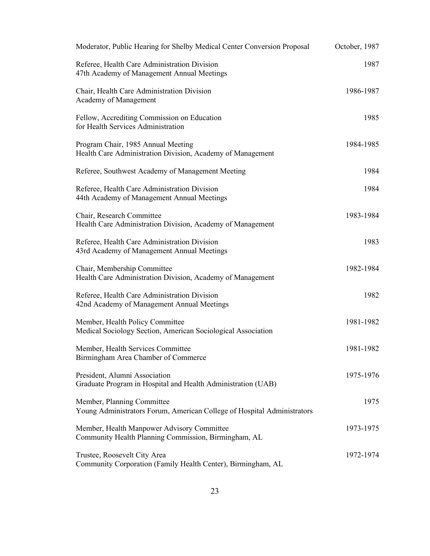| Moderator, Public Hearing for Shelby Medical Center Conversion Proposal                               | October, 1987 |
|-------------------------------------------------------------------------------------------------------|---------------|
| Referee, Health Care Administration Division<br>47th Academy of Management Annual Meetings            | 1987          |
| Chair, Health Care Administration Division<br>Academy of Management                                   | 1986-1987     |
| Fellow, Accrediting Commission on Education<br>for Health Services Administration                     | 1985          |
| Program Chair, 1985 Annual Meeting<br>Health Care Administration Division, Academy of Management      | 1984-1985     |
| Referee, Southwest Academy of Management Meeting                                                      | 1984          |
| Referee, Health Care Administration Division<br>44th Academy of Management Annual Meetings            | 1984          |
| Chair, Research Committee<br>Health Care Administration Division, Academy of Management               | 1983-1984     |
| Referee, Health Care Administration Division<br>43rd Academy of Management Annual Meetings            | 1983          |
| Chair, Membership Committee<br>Health Care Administration Division, Academy of Management             | 1982-1984     |
| Referee, Health Care Administration Division<br>42nd Academy of Management Annual Meetings            | 1982          |
| Member, Health Policy Committee<br>Medical Sociology Section, American Sociological Association       | 1981-1982     |
| Member, Health Services Committee<br>Birmingham Area Chamber of Commerce                              | 1981-1982     |
| President, Alumni Association<br>Graduate Program in Hospital and Health Administration (UAB)         | 1975-1976     |
| Member, Planning Committee<br>Young Administrators Forum, American College of Hospital Administrators | 1975          |
| Member, Health Manpower Advisory Committee<br>Community Health Planning Commission, Birmingham, AL    | 1973-1975     |
| Trustee, Roosevelt City Area<br>Community Corporation (Family Health Center), Birmingham, AL          | 1972-1974     |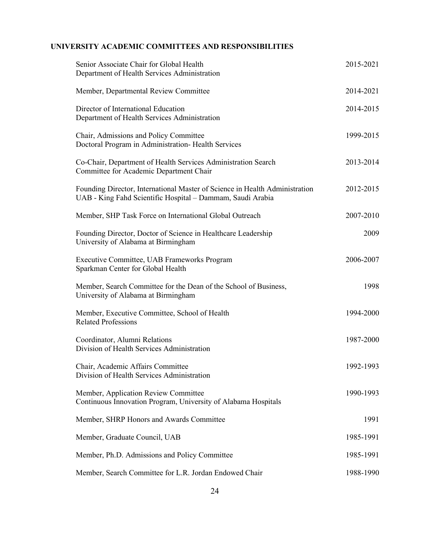# **UNIVERSITY ACADEMIC COMMITTEES AND RESPONSIBILITIES**

| Senior Associate Chair for Global Health<br>Department of Health Services Administration                                                  | 2015-2021 |
|-------------------------------------------------------------------------------------------------------------------------------------------|-----------|
| Member, Departmental Review Committee                                                                                                     | 2014-2021 |
| Director of International Education<br>Department of Health Services Administration                                                       | 2014-2015 |
| Chair, Admissions and Policy Committee<br>Doctoral Program in Administration-Health Services                                              | 1999-2015 |
| Co-Chair, Department of Health Services Administration Search<br>Committee for Academic Department Chair                                  | 2013-2014 |
| Founding Director, International Master of Science in Health Administration<br>UAB - King Fahd Scientific Hospital – Dammam, Saudi Arabia | 2012-2015 |
| Member, SHP Task Force on International Global Outreach                                                                                   | 2007-2010 |
| Founding Director, Doctor of Science in Healthcare Leadership<br>University of Alabama at Birmingham                                      | 2009      |
| Executive Committee, UAB Frameworks Program<br>Sparkman Center for Global Health                                                          | 2006-2007 |
| Member, Search Committee for the Dean of the School of Business,<br>University of Alabama at Birmingham                                   | 1998      |
| Member, Executive Committee, School of Health<br><b>Related Professions</b>                                                               | 1994-2000 |
| Coordinator, Alumni Relations<br>Division of Health Services Administration                                                               | 1987-2000 |
| Chair, Academic Affairs Committee<br>Division of Health Services Administration                                                           | 1992-1993 |
| Member, Application Review Committee<br>Continuous Innovation Program, University of Alabama Hospitals                                    | 1990-1993 |
| Member, SHRP Honors and Awards Committee                                                                                                  | 1991      |
| Member, Graduate Council, UAB                                                                                                             | 1985-1991 |
| Member, Ph.D. Admissions and Policy Committee                                                                                             | 1985-1991 |
| Member, Search Committee for L.R. Jordan Endowed Chair                                                                                    | 1988-1990 |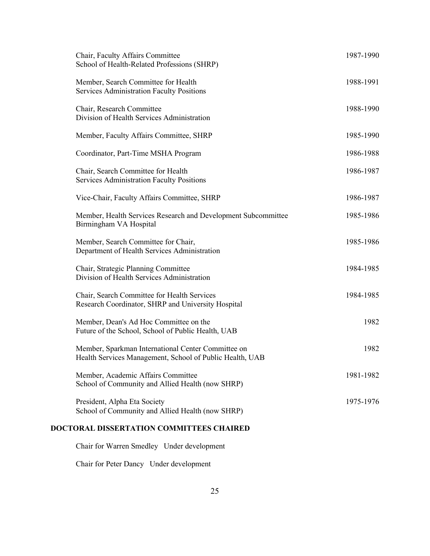| Chair, Faculty Affairs Committee<br>School of Health-Related Professions (SHRP)                                | 1987-1990 |
|----------------------------------------------------------------------------------------------------------------|-----------|
| Member, Search Committee for Health<br><b>Services Administration Faculty Positions</b>                        | 1988-1991 |
| Chair, Research Committee<br>Division of Health Services Administration                                        | 1988-1990 |
| Member, Faculty Affairs Committee, SHRP                                                                        | 1985-1990 |
| Coordinator, Part-Time MSHA Program                                                                            | 1986-1988 |
| Chair, Search Committee for Health<br><b>Services Administration Faculty Positions</b>                         | 1986-1987 |
| Vice-Chair, Faculty Affairs Committee, SHRP                                                                    | 1986-1987 |
| Member, Health Services Research and Development Subcommittee<br>Birmingham VA Hospital                        | 1985-1986 |
| Member, Search Committee for Chair,<br>Department of Health Services Administration                            | 1985-1986 |
| Chair, Strategic Planning Committee<br>Division of Health Services Administration                              | 1984-1985 |
| Chair, Search Committee for Health Services<br>Research Coordinator, SHRP and University Hospital              | 1984-1985 |
| Member, Dean's Ad Hoc Committee on the<br>Future of the School, School of Public Health, UAB                   | 1982      |
| Member, Sparkman International Center Committee on<br>Health Services Management, School of Public Health, UAB | 1982      |
| Member, Academic Affairs Committee<br>School of Community and Allied Health (now SHRP)                         | 1981-1982 |
| President, Alpha Eta Society<br>School of Community and Allied Health (now SHRP)                               | 1975-1976 |
|                                                                                                                |           |

# **DOCTORAL DISSERTATION COMMITTEES CHAIRED**

Chair for Warren Smedley Under development

Chair for Peter Dancy Under development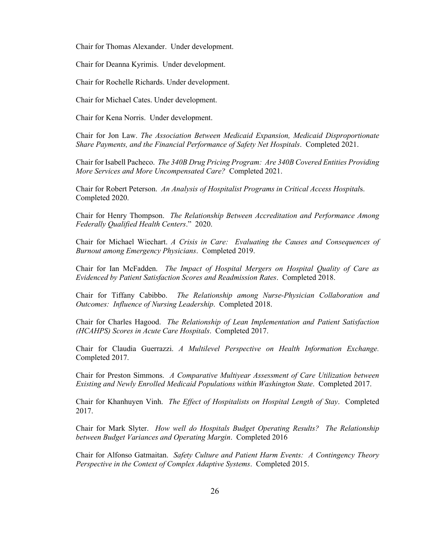Chair for Thomas Alexander. Under development.

Chair for Deanna Kyrimis. Under development.

Chair for Rochelle Richards. Under development.

Chair for Michael Cates. Under development.

Chair for Kena Norris. Under development.

Chair for Jon Law. *The Association Between Medicaid Expansion, Medicaid Disproportionate Share Payments, and the Financial Performance of Safety Net Hospitals*. Completed 2021.

Chair for Isabell Pacheco. *The 340B Drug Pricing Program: Are 340B Covered Entities Providing More Services and More Uncompensated Care?* Completed 2021.

Chair for Robert Peterson. *An Analysis of Hospitalist Programs in Critical Access Hospital*s. Completed 2020.

Chair for Henry Thompson. *The Relationship Between Accreditation and Performance Among Federally Qualified Health Centers*." 2020.

Chair for Michael Wiechart. *A Crisis in Care: Evaluating the Causes and Consequences of Burnout among Emergency Physicians*. Completed 2019.

Chair for Ian McFadden. *The Impact of Hospital Mergers on Hospital Quality of Care as Evidenced by Patient Satisfaction Scores and Readmission Rates*. Completed 2018.

Chair for Tiffany Cabibbo. *The Relationship among Nurse-Physician Collaboration and Outcomes: Influence of Nursing Leadership*. Completed 2018.

Chair for Charles Hagood. *The Relationship of Lean Implementation and Patient Satisfaction (HCAHPS) Scores in Acute Care Hospitals*. Completed 2017.

Chair for Claudia Guerrazzi. *A Multilevel Perspective on Health Information Exchange.* Completed 2017.

Chair for Preston Simmons. *A Comparative Multiyear Assessment of Care Utilization between Existing and Newly Enrolled Medicaid Populations within Washington State*. Completed 2017.

Chair for Khanhuyen Vinh. *The Effect of Hospitalists on Hospital Length of Stay*. Completed 2017.

Chair for Mark Slyter. *How well do Hospitals Budget Operating Results? The Relationship between Budget Variances and Operating Margin*. Completed 2016

Chair for Alfonso Gatmaitan. *Safety Culture and Patient Harm Events: A Contingency Theory Perspective in the Context of Complex Adaptive Systems*. Completed 2015.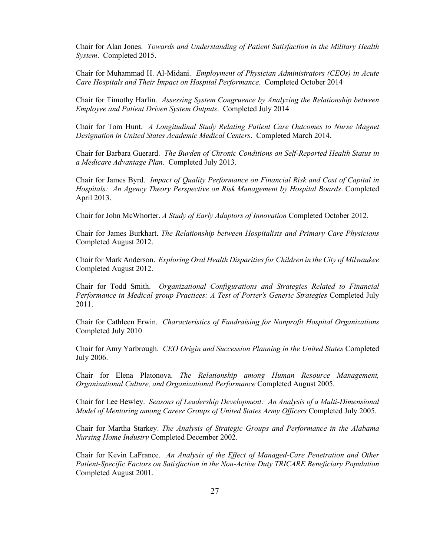Chair for Alan Jones. *Towards and Understanding of Patient Satisfaction in the Military Health System*. Completed 2015.

Chair for Muhammad H. Al-Midani. *Employment of Physician Administrators (CEOs) in Acute Care Hospitals and Their Impact on Hospital Performance*. Completed October 2014

Chair for Timothy Harlin. *Assessing System Congruence by Analyzing the Relationship between Employee and Patient Driven System Outputs*. Completed July 2014

Chair for Tom Hunt. *A Longitudinal Study Relating Patient Care Outcomes to Nurse Magnet Designation in United States Academic Medical Centers*. Completed March 2014.

Chair for Barbara Guerard. *The Burden of Chronic Conditions on Self-Reported Health Status in a Medicare Advantage Plan*. Completed July 2013.

Chair for James Byrd. *Impact of Quality Performance on Financial Risk and Cost of Capital in Hospitals: An Agency Theory Perspective on Risk Management by Hospital Boards*. Completed April 2013.

Chair for John McWhorter. *A Study of Early Adaptors of Innovation* Completed October 2012.

Chair for James Burkhart. *The Relationship between Hospitalists and Primary Care Physicians* Completed August 2012.

Chair for Mark Anderson. *Exploring Oral Health Disparities for Children in the City of Milwaukee* Completed August 2012.

Chair for Todd Smith. *Organizational Configurations and Strategies Related to Financial Performance in Medical group Practices: A Test of Porter's Generic Strategies* Completed July 2011.

Chair for Cathleen Erwin. *Characteristics of Fundraising for Nonprofit Hospital Organizations* Completed July 2010

Chair for Amy Yarbrough. *CEO Origin and Succession Planning in the United States* Completed July 2006.

Chair for Elena Platonova. *The Relationship among Human Resource Management, Organizational Culture, and Organizational Performance* Completed August 2005.

Chair for Lee Bewley. *Seasons of Leadership Development: An Analysis of a Multi-Dimensional Model of Mentoring among Career Groups of United States Army Officers* Completed July 2005.

Chair for Martha Starkey. *The Analysis of Strategic Groups and Performance in the Alabama Nursing Home Industry* Completed December 2002.

Chair for Kevin LaFrance. *An Analysis of the Effect of Managed-Care Penetration and Other Patient-Specific Factors on Satisfaction in the Non-Active Duty TRICARE Beneficiary Population* Completed August 2001.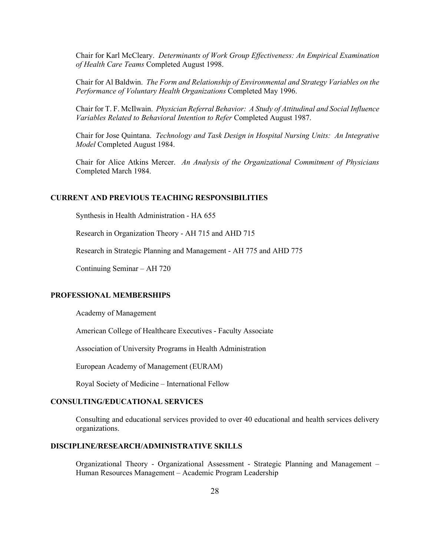Chair for Karl McCleary. *Determinants of Work Group Effectiveness: An Empirical Examination of Health Care Teams* Completed August 1998.

Chair for Al Baldwin. *The Form and Relationship of Environmental and Strategy Variables on the Performance of Voluntary Health Organizations* Completed May 1996.

Chair for T. F. McIlwain. *Physician Referral Behavior: A Study of Attitudinal and Social Influence Variables Related to Behavioral Intention to Refer* Completed August 1987.

Chair for Jose Quintana. *Technology and Task Design in Hospital Nursing Units: An Integrative Model* Completed August 1984.

Chair for Alice Atkins Mercer. *An Analysis of the Organizational Commitment of Physicians* Completed March 1984.

## **CURRENT AND PREVIOUS TEACHING RESPONSIBILITIES**

Synthesis in Health Administration - HA 655

Research in Organization Theory - AH 715 and AHD 715

Research in Strategic Planning and Management - AH 775 and AHD 775

Continuing Seminar – AH 720

#### **PROFESSIONAL MEMBERSHIPS**

Academy of Management

American College of Healthcare Executives - Faculty Associate

Association of University Programs in Health Administration

European Academy of Management (EURAM)

Royal Society of Medicine – International Fellow

## **CONSULTING/EDUCATIONAL SERVICES**

Consulting and educational services provided to over 40 educational and health services delivery organizations.

## **DISCIPLINE/RESEARCH/ADMINISTRATIVE SKILLS**

Organizational Theory - Organizational Assessment - Strategic Planning and Management – Human Resources Management – Academic Program Leadership